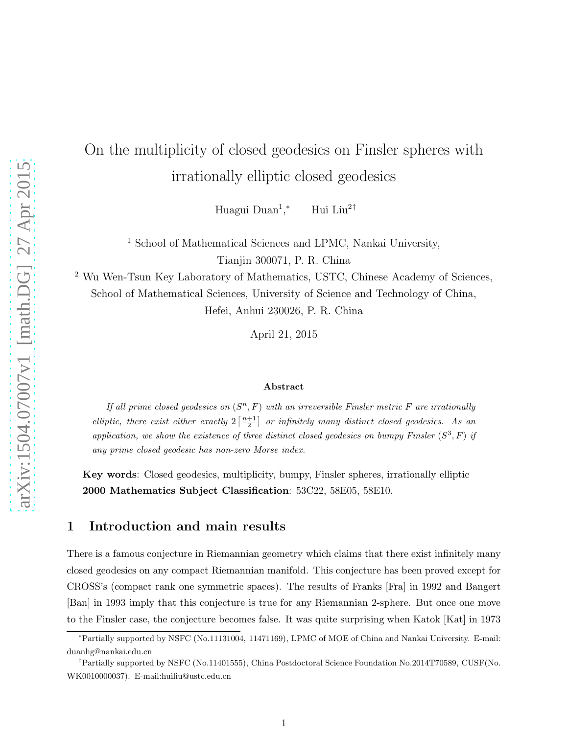# On the multiplicity of closed geodesics on Finsler spheres with irrationally elliptic closed geodesics

Huagui Duan<sup>1</sup>, <sup>∗</sup> Hui Liu<sup>2</sup>†

<sup>1</sup> School of Mathematical Sciences and LPMC, Nankai University,

Tianjin 300071, P. R. China

<sup>2</sup> Wu Wen-Tsun Key Laboratory of Mathematics, USTC, Chinese Academy of Sciences, School of Mathematical Sciences, University of Science and Technology of China, Hefei, Anhui 230026, P. R. China

April 21, 2015

#### Abstract

If all prime closed geodesics on  $(S<sup>n</sup>, F)$  with an irreversible Finsler metric F are irrationally elliptic, there exist either exactly  $2\left[\frac{n+1}{2}\right]$  or infinitely many distinct closed geodesics. As an application, we show the existence of three distinct closed geodesics on bumpy Finsler  $(S^3, F)$  if any prime closed geodesic has non-zero Morse index.

Key words: Closed geodesics, multiplicity, bumpy, Finsler spheres, irrationally elliptic 2000 Mathematics Subject Classification: 53C22, 58E05, 58E10.

## 1 Introduction and main results

There is a famous conjecture in Riemannian geometry which claims that there exist infinitely many closed geodesics on any compact Riemannian manifold. This conjecture has been proved except for CROSS's (compact rank one symmetric spaces). The results of Franks [Fra] in 1992 and Bangert [Ban] in 1993 imply that this conjecture is true for any Riemannian 2-sphere. But once one move to the Finsler case, the conjecture becomes false. It was quite surprising when Katok [Kat] in 1973

<sup>∗</sup>Partially supported by NSFC (No.11131004, 11471169), LPMC of MOE of China and Nankai University. E-mail: duanhg@nankai.edu.cn

<sup>†</sup>Partially supported by NSFC (No.11401555), China Postdoctoral Science Foundation No.2014T70589, CUSF(No. WK0010000037). E-mail:huiliu@ustc.edu.cn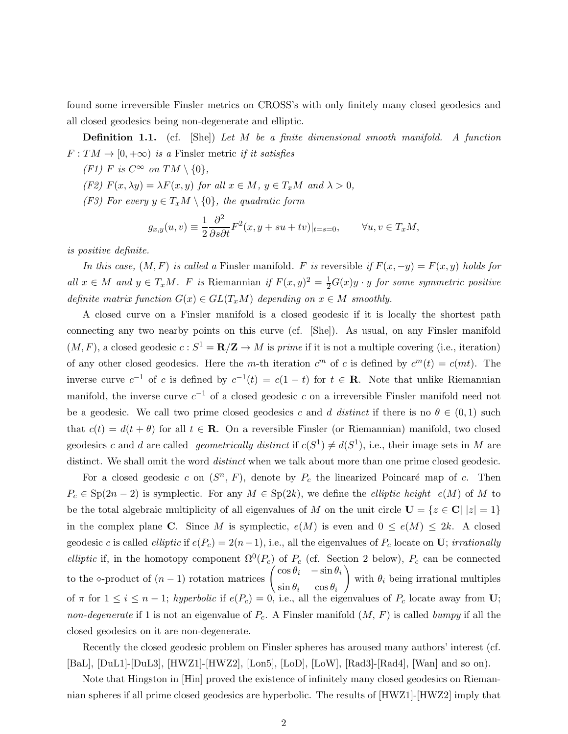found some irreversible Finsler metrics on CROSS's with only finitely many closed geodesics and all closed geodesics being non-degenerate and elliptic.

**Definition 1.1.** (cf. [She]) Let M be a finite dimensional smooth manifold. A function  $F: TM \rightarrow [0, +\infty)$  is a Finsler metric if it satisfies

- (F1) F is  $C^{\infty}$  on  $TM \setminus \{0\},$
- (F2)  $F(x, \lambda y) = \lambda F(x, y)$  for all  $x \in M$ ,  $y \in T_xM$  and  $\lambda > 0$ ,
- (F3) For every  $y \in T_xM \setminus \{0\}$ , the quadratic form

$$
g_{x,y}(u,v) \equiv \frac{1}{2} \frac{\partial^2}{\partial s \partial t} F^2(x, y + su + tv)|_{t=s=0}, \qquad \forall u, v \in T_xM,
$$

is positive definite.

In this case,  $(M, F)$  is called a Finsler manifold. F is reversible if  $F(x, -y) = F(x, y)$  holds for all  $x \in M$  and  $y \in T_xM$ . F is Riemannian if  $F(x, y)^2 = \frac{1}{2}G(x)y \cdot y$  for some symmetric positive definite matrix function  $G(x) \in GL(T_xM)$  depending on  $x \in M$  smoothly.

A closed curve on a Finsler manifold is a closed geodesic if it is locally the shortest path connecting any two nearby points on this curve (cf. [She]). As usual, on any Finsler manifold  $(M, F)$ , a closed geodesic  $c : S^1 = \mathbb{R}/\mathbb{Z} \to M$  is prime if it is not a multiple covering (i.e., iteration) of any other closed geodesics. Here the m-th iteration  $c^m$  of c is defined by  $c^m(t) = c(mt)$ . The inverse curve  $c^{-1}$  of c is defined by  $c^{-1}(t) = c(1-t)$  for  $t \in \mathbb{R}$ . Note that unlike Riemannian manifold, the inverse curve  $c^{-1}$  of a closed geodesic c on a irreversible Finsler manifold need not be a geodesic. We call two prime closed geodesics c and d distinct if there is no  $\theta \in (0,1)$  such that  $c(t) = d(t + \theta)$  for all  $t \in \mathbb{R}$ . On a reversible Finsler (or Riemannian) manifold, two closed geodesics c and d are called geometrically distinct if  $c(S^1) \neq d(S^1)$ , i.e., their image sets in M are distinct. We shall omit the word distinct when we talk about more than one prime closed geodesic.

For a closed geodesic c on  $(S^n, F)$ , denote by  $P_c$  the linearized Poincaré map of c. Then  $P_c \in Sp(2n-2)$  is symplectic. For any  $M \in Sp(2k)$ , we define the *elliptic height*  $e(M)$  of M to be the total algebraic multiplicity of all eigenvalues of M on the unit circle  $U = \{z \in C | |z| = 1\}$ in the complex plane C. Since M is symplectic,  $e(M)$  is even and  $0 \le e(M) \le 2k$ . A closed geodesic c is called *elliptic* if  $e(P_c) = 2(n-1)$ , i.e., all the eigenvalues of  $P_c$  locate on **U**; *irrationally* elliptic if, in the homotopy component  $\Omega^0(P_c)$  of  $P_c$  (cf. Section 2 below),  $P_c$  can be connected to the  $\diamond$ -product of  $(n-1)$  rotation matrices  $\begin{pmatrix} \cos \theta_i & -\sin \theta_i \\ \cdot & \cdot \end{pmatrix}$  $\sin \theta_i$   $\cos \theta_i$  $\setminus$ with  $\theta_i$  being irrational multiples of  $\pi$  for  $1 \leq i \leq n-1$ ; hyperbolic if  $e(P_c) = 0$ , i.e., all the eigenvalues of  $P_c$  locate away from U; non-degenerate if 1 is not an eigenvalue of  $P_c$ . A Finsler manifold  $(M, F)$  is called bumpy if all the closed geodesics on it are non-degenerate.

Recently the closed geodesic problem on Finsler spheres has aroused many authors' interest (cf. [BaL], [DuL1]-[DuL3], [HWZ1]-[HWZ2], [Lon5], [LoD], [LoW], [Rad3]-[Rad4], [Wan] and so on).

Note that Hingston in [Hin] proved the existence of infinitely many closed geodesics on Riemannian spheres if all prime closed geodesics are hyperbolic. The results of [HWZ1]-[HWZ2] imply that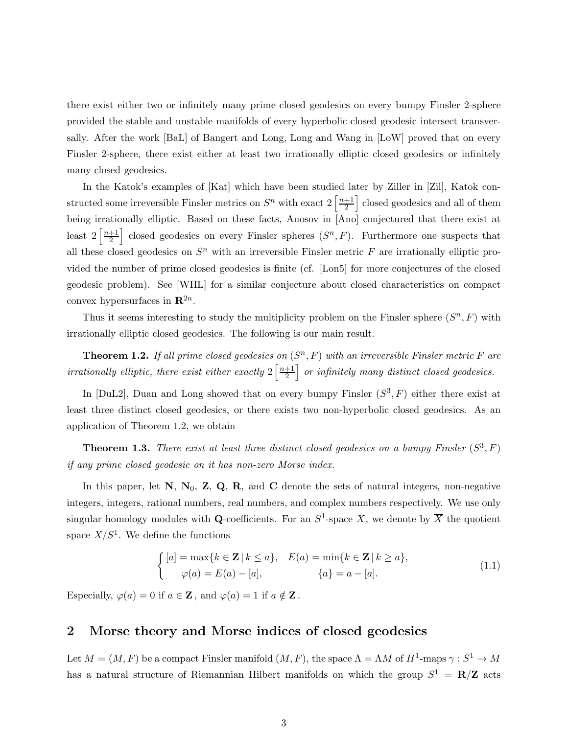there exist either two or infinitely many prime closed geodesics on every bumpy Finsler 2-sphere provided the stable and unstable manifolds of every hyperbolic closed geodesic intersect transversally. After the work [BaL] of Bangert and Long, Long and Wang in [LoW] proved that on every Finsler 2-sphere, there exist either at least two irrationally elliptic closed geodesics or infinitely many closed geodesics.

In the Katok's examples of [Kat] which have been studied later by Ziller in [Zil], Katok constructed some irreversible Finsler metrics on  $S<sup>n</sup>$  with exact  $2\left\lceil \frac{n+1}{2} \right\rceil$  $\frac{+1}{2}$  closed geodesics and all of them being irrationally elliptic. Based on these facts, Anosov in [Ano] conjectured that there exist at least  $2\left\lceil \frac{n+1}{2} \right\rceil$  $\left[\frac{+1}{2}\right]$  closed geodesics on every Finsler spheres  $(S^n, F)$ . Furthermore one suspects that all these closed geodesics on  $S<sup>n</sup>$  with an irreversible Finsler metric F are irrationally elliptic provided the number of prime closed geodesics is finite (cf. [Lon5] for more conjectures of the closed geodesic problem). See [WHL] for a similar conjecture about closed characteristics on compact convex hypersurfaces in  $\mathbb{R}^{2n}$ .

Thus it seems interesting to study the multiplicity problem on the Finsler sphere  $(S<sup>n</sup>, F)$  with irrationally elliptic closed geodesics. The following is our main result.

**Theorem 1.2.** If all prime closed geodesics on  $(S<sup>n</sup>, F)$  with an irreversible Finsler metric F are irrationally elliptic, there exist either exactly  $2\left\lceil \frac{n+1}{2} \right\rceil$  $\frac{+1}{2}$  or infinitely many distinct closed geodesics.

In [DuL2], Duan and Long showed that on every bumpy Finsler  $(S^3, F)$  either there exist at least three distinct closed geodesics, or there exists two non-hyperbolic closed geodesics. As an application of Theorem 1.2, we obtain

**Theorem 1.3.** There exist at least three distinct closed geodesics on a bumpy Finsler  $(S^3, F)$ if any prime closed geodesic on it has non-zero Morse index.

In this paper, let  $\mathbf{N}, \mathbf{N}_0, \mathbf{Z}, \mathbf{Q}, \mathbf{R}$ , and  $\mathbf{C}$  denote the sets of natural integers, non-negative integers, integers, rational numbers, real numbers, and complex numbers respectively. We use only singular homology modules with Q-coefficients. For an  $S^1$ -space X, we denote by  $\overline{X}$  the quotient space  $X/S^1$ . We define the functions

$$
\begin{cases}\n[a] = \max\{k \in \mathbf{Z} \mid k \le a\}, & E(a) = \min\{k \in \mathbf{Z} \mid k \ge a\}, \\
\varphi(a) = E(a) - [a], & \{a\} = a - [a].\n\end{cases}
$$
\n(1.1)

Especially,  $\varphi(a) = 0$  if  $a \in \mathbb{Z}$ , and  $\varphi(a) = 1$  if  $a \notin \mathbb{Z}$ .

## 2 Morse theory and Morse indices of closed geodesics

Let  $M = (M, F)$  be a compact Finsler manifold  $(M, F)$ , the space  $\Lambda = \Lambda M$  of  $H^1$ -maps  $\gamma : S^1 \to M$ has a natural structure of Riemannian Hilbert manifolds on which the group  $S^1 = \mathbb{R}/\mathbb{Z}$  acts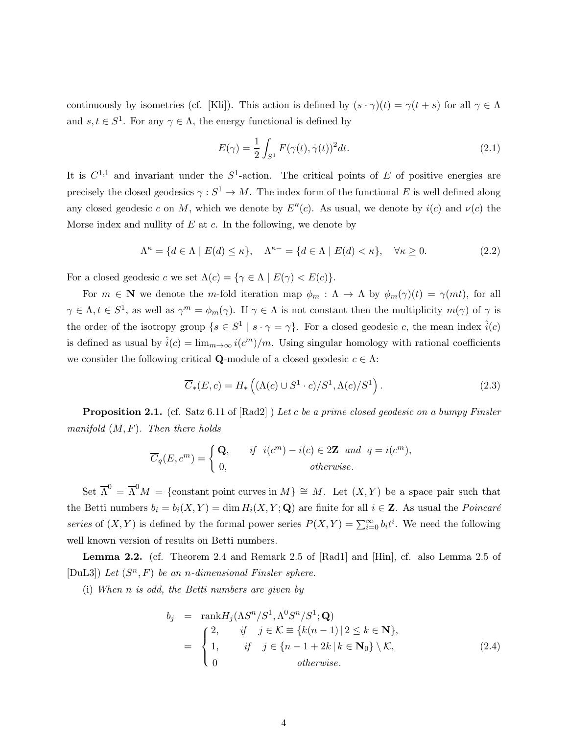continuously by isometries (cf. [Kli]). This action is defined by  $(s \cdot \gamma)(t) = \gamma(t + s)$  for all  $\gamma \in \Lambda$ and  $s, t \in S^1$ . For any  $\gamma \in \Lambda$ , the energy functional is defined by

$$
E(\gamma) = \frac{1}{2} \int_{S^1} F(\gamma(t), \dot{\gamma}(t))^2 dt.
$$
\n(2.1)

It is  $C^{1,1}$  and invariant under the  $S^1$ -action. The critical points of E of positive energies are precisely the closed geodesics  $\gamma : S^1 \to M$ . The index form of the functional E is well defined along any closed geodesic c on M, which we denote by  $E''(c)$ . As usual, we denote by  $i(c)$  and  $\nu(c)$  the Morse index and nullity of  $E$  at  $c$ . In the following, we denote by

$$
\Lambda^{\kappa} = \{ d \in \Lambda \mid E(d) \le \kappa \}, \quad \Lambda^{\kappa-} = \{ d \in \Lambda \mid E(d) < \kappa \}, \quad \forall \kappa \ge 0. \tag{2.2}
$$

For a closed geodesic c we set  $\Lambda(c) = {\gamma \in \Lambda \mid E(\gamma) < E(c)}$ .

For  $m \in \mathbb{N}$  we denote the m-fold iteration map  $\phi_m : \Lambda \to \Lambda$  by  $\phi_m(\gamma)(t) = \gamma(mt)$ , for all  $\gamma \in \Lambda, t \in S^1$ , as well as  $\gamma^m = \phi_m(\gamma)$ . If  $\gamma \in \Lambda$  is not constant then the multiplicity  $m(\gamma)$  of  $\gamma$  is the order of the isotropy group  $\{s \in S^1 \mid s \cdot \gamma = \gamma\}$ . For a closed geodesic c, the mean index  $\hat{i}(c)$ is defined as usual by  $\hat{i}(c) = \lim_{m \to \infty} i(c^m)/m$ . Using singular homology with rational coefficients we consider the following critical **Q**-module of a closed geodesic  $c \in \Lambda$ :

$$
\overline{C}_{*}(E,c) = H_{*}\left( (\Lambda(c) \cup S^{1} \cdot c) / S^{1}, \Lambda(c) / S^{1} \right). \tag{2.3}
$$

**Proposition 2.1.** (cf. Satz 6.11 of  $[Rad2]$ ) Let c be a prime closed geodesic on a bumpy Finsler manifold  $(M, F)$ . Then there holds

$$
\overline{C}_q(E, c^m) = \begin{cases} \mathbf{Q}, & \text{if } i(c^m) - i(c) \in 2\mathbf{Z} \text{ and } q = i(c^m), \\ 0, & \text{otherwise.} \end{cases}
$$

Set  $\overline{\Lambda}^0 = \overline{\Lambda}^0 M = \{$ constant point curves in  $M\} \cong M$ . Let  $(X, Y)$  be a space pair such that the Betti numbers  $b_i = b_i(X, Y) = \dim H_i(X, Y; \mathbf{Q})$  are finite for all  $i \in \mathbf{Z}$ . As usual the *Poincaré* series of  $(X, Y)$  is defined by the formal power series  $P(X, Y) = \sum_{i=0}^{\infty} b_i t^i$ . We need the following well known version of results on Betti numbers.

Lemma 2.2. (cf. Theorem 2.4 and Remark 2.5 of [Rad1] and [Hin], cf. also Lemma 2.5 of [DuL3]) Let  $(S^n, F)$  be an n-dimensional Finsler sphere.

(i) When n is odd, the Betti numbers are given by

$$
b_j = \operatorname{rank} H_j(\Lambda S^n/S^1, \Lambda^0 S^n/S^1; \mathbf{Q})
$$
  
= 
$$
\begin{cases} 2, & \text{if } j \in \mathcal{K} \equiv \{k(n-1) \mid 2 \le k \in \mathbf{N}\}, \\ 1, & \text{if } j \in \{n-1+2k \mid k \in \mathbf{N}_0\} \setminus \mathcal{K}, \\ 0 & \text{otherwise.} \end{cases}
$$
 (2.4)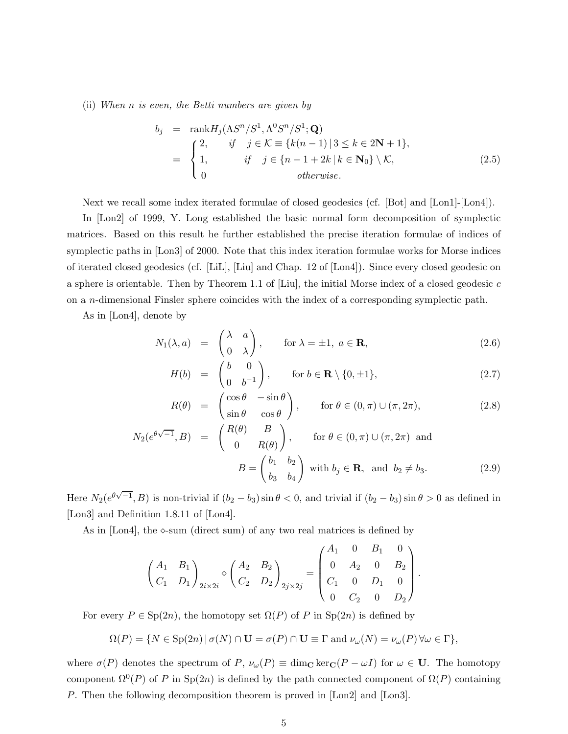(ii) When n is even, the Betti numbers are given by

$$
b_j = \operatorname{rank} H_j(\Lambda S^n/S^1, \Lambda^0 S^n/S^1; \mathbf{Q})
$$
  
= 
$$
\begin{cases} 2, & \text{if } j \in \mathcal{K} \equiv \{k(n-1) \mid 3 \le k \in 2\mathbf{N} + 1\}, \\ 1, & \text{if } j \in \{n-1+2k \mid k \in \mathbf{N}_0\} \setminus \mathcal{K}, \\ 0 & \text{otherwise.} \end{cases}
$$
 (2.5)

Next we recall some index iterated formulae of closed geodesics (cf. [Bot] and [Lon1]-[Lon4]).

In [Lon2] of 1999, Y. Long established the basic normal form decomposition of symplectic matrices. Based on this result he further established the precise iteration formulae of indices of symplectic paths in [Lon3] of 2000. Note that this index iteration formulae works for Morse indices of iterated closed geodesics (cf. [LiL], [Liu] and Chap. 12 of [Lon4]). Since every closed geodesic on a sphere is orientable. Then by Theorem 1.1 of  $[Liu]$ , the initial Morse index of a closed geodesic c on a n-dimensional Finsler sphere coincides with the index of a corresponding symplectic path.

As in [Lon4], denote by

$$
N_1(\lambda, a) = \begin{pmatrix} \lambda & a \\ 0 & \lambda \end{pmatrix}, \quad \text{for } \lambda = \pm 1, a \in \mathbf{R},
$$
 (2.6)

$$
H(b) = \begin{pmatrix} b & 0 \\ 0 & b^{-1} \end{pmatrix}, \quad \text{for } b \in \mathbf{R} \setminus \{0, \pm 1\},
$$
 (2.7)

$$
R(\theta) = \begin{pmatrix} \cos \theta & -\sin \theta \\ \sin \theta & \cos \theta \end{pmatrix}, \quad \text{for } \theta \in (0, \pi) \cup (\pi, 2\pi), \tag{2.8}
$$

$$
N_2(e^{\theta\sqrt{-1}}, B) = \begin{pmatrix} R(\theta) & B \\ 0 & R(\theta) \end{pmatrix}, \quad \text{for } \theta \in (0, \pi) \cup (\pi, 2\pi) \text{ and}
$$

$$
B = \begin{pmatrix} b_1 & b_2 \\ b_3 & b_4 \end{pmatrix} \text{ with } b_j \in \mathbf{R}, \text{ and } b_2 \neq b_3.
$$
 (2.9)

Here  $N_2(e^{\theta\sqrt{-1}},B)$  is non-trivial if  $(b_2-b_3)\sin\theta < 0$ , and trivial if  $(b_2-b_3)\sin\theta > 0$  as defined in [Lon3] and Definition 1.8.11 of [Lon4].

As in [Lon4], the  $\infty$ -sum (direct sum) of any two real matrices is defined by

$$
\begin{pmatrix} A_1 & B_1 \ C_1 & D_1 \end{pmatrix}_{2i \times 2i} \diamond \begin{pmatrix} A_2 & B_2 \ C_2 & D_2 \end{pmatrix}_{2j \times 2j} = \begin{pmatrix} A_1 & 0 & B_1 & 0 \ 0 & A_2 & 0 & B_2 \ C_1 & 0 & D_1 & 0 \ 0 & C_2 & 0 & D_2 \end{pmatrix}.
$$

For every  $P \in \text{Sp}(2n)$ , the homotopy set  $\Omega(P)$  of P in  $\text{Sp}(2n)$  is defined by

$$
\Omega(P) = \{ N \in \text{Sp}(2n) \mid \sigma(N) \cap \mathbf{U} = \sigma(P) \cap \mathbf{U} \equiv \Gamma \text{ and } \nu_{\omega}(N) = \nu_{\omega}(P) \,\forall \omega \in \Gamma \},\
$$

where  $\sigma(P)$  denotes the spectrum of P,  $\nu_{\omega}(P) \equiv \dim_{\mathbf{C}} \ker_{\mathbf{C}}(P - \omega I)$  for  $\omega \in \mathbf{U}$ . The homotopy component  $\Omega^{0}(P)$  of P in Sp(2n) is defined by the path connected component of  $\Omega(P)$  containing P. Then the following decomposition theorem is proved in [Lon2] and [Lon3].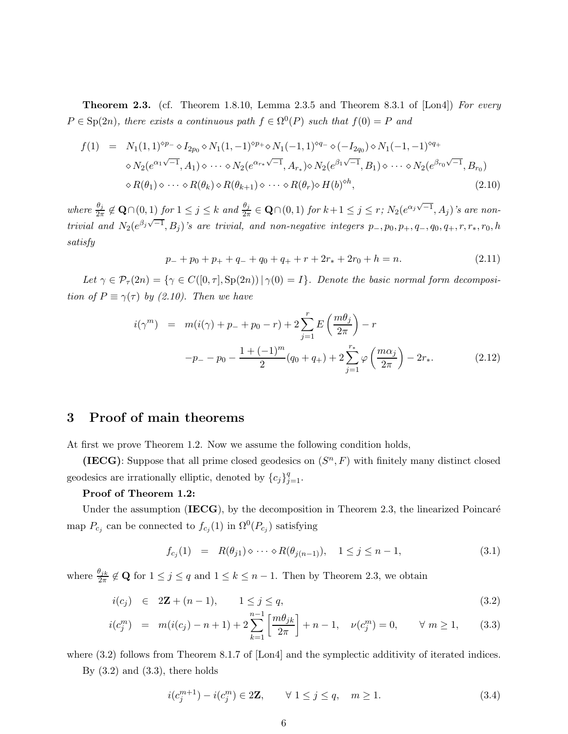**Theorem 2.3.** (cf. Theorem 1.8.10, Lemma 2.3.5 and Theorem 8.3.1 of  $[{\rm{Ln}}]$  For every  $P \in \text{Sp}(2n)$ , there exists a continuous path  $f \in \Omega^0(P)$  such that  $f(0) = P$  and

$$
f(1) = N_1(1,1)^{\diamond p_{-}} \diamond I_{2p_0} \diamond N_1(1,-1)^{\diamond p_{+}} \diamond N_1(-1,1)^{\diamond q_{-}} \diamond (-I_{2q_0}) \diamond N_1(-1,-1)^{\diamond q_{+}} \diamond N_2(e^{\alpha_1 \sqrt{-1}},A_1) \diamond \cdots \diamond N_2(e^{\alpha_{r_*}\sqrt{-1}},A_{r_*}) \diamond N_2(e^{\beta_1 \sqrt{-1}},B_1) \diamond \cdots \diamond N_2(e^{\beta_{r_0}\sqrt{-1}},B_{r_0}) \diamond R(\theta_1) \diamond \cdots \diamond R(\theta_k) \diamond R(\theta_{k+1}) \diamond \cdots \diamond R(\theta_r) \diamond H(b)^{\diamond h},
$$
\n(2.10)

where  $\frac{\theta_j}{2\pi} \notin \mathbf{Q} \cap (0,1)$  for  $1 \leq j \leq k$  and  $\frac{\theta_j}{2\pi} \in \mathbf{Q} \cap (0,1)$  for  $k+1 \leq j \leq r$ ;  $N_2(e^{\alpha_j \sqrt{-1}}, A_j)$ 's are nontrivial and  $N_2(e^{\beta_j\sqrt{-1}},B_j)$ 's are trivial, and non-negative integers  $p_-,p_0,p_+,q_-,q_0,q_+,r,r_*,r_0,h_0$ satisfy

$$
p_{-} + p_{0} + p_{+} + q_{-} + q_{0} + q_{+} + r + 2r_{*} + 2r_{0} + h = n.
$$
 (2.11)

Let  $\gamma \in \mathcal{P}_{\tau}(2n) = {\gamma \in C([0, \tau], \text{Sp}(2n)) | \gamma(0) = I}.$  Denote the basic normal form decomposition of  $P \equiv \gamma(\tau)$  by (2.10). Then we have

$$
i(\gamma^{m}) = m(i(\gamma) + p_{-} + p_{0} - r) + 2\sum_{j=1}^{r} E\left(\frac{m\theta_{j}}{2\pi}\right) - r
$$
  

$$
-p_{-} - p_{0} - \frac{1 + (-1)^{m}}{2}(q_{0} + q_{+}) + 2\sum_{j=1}^{r_{*}} \varphi\left(\frac{m\alpha_{j}}{2\pi}\right) - 2r_{*}.
$$
 (2.12)

## 3 Proof of main theorems

At first we prove Theorem 1.2. Now we assume the following condition holds,

(IECG): Suppose that all prime closed geodesics on  $(S<sup>n</sup>, F)$  with finitely many distinct closed geodesics are irrationally elliptic, denoted by  ${c_j}_{j=1}^q$ .

#### Proof of Theorem 1.2:

Under the assumption  $(IECG)$ , by the decomposition in Theorem 2.3, the linearized Poincaré map  $P_{c_j}$  can be connected to  $f_{c_j}(1)$  in  $\Omega^0(P_{c_j})$  satisfying

$$
f_{c_j}(1) = R(\theta_{j1}) \diamond \cdots \diamond R(\theta_{j(n-1)}), \quad 1 \le j \le n-1,
$$
\n(3.1)

where  $\frac{\theta_{jk}}{2\pi} \notin \mathbf{Q}$  for  $1 \leq j \leq q$  and  $1 \leq k \leq n-1$ . Then by Theorem 2.3, we obtain

$$
i(c_j) \in 2\mathbf{Z} + (n-1), \qquad 1 \le j \le q,\tag{3.2}
$$

$$
i(c_j^m) = m(i(c_j) - n + 1) + 2\sum_{k=1}^{n-1} \left[ \frac{m\theta_{jk}}{2\pi} \right] + n - 1, \quad \nu(c_j^m) = 0, \qquad \forall \ m \ge 1, \tag{3.3}
$$

where  $(3.2)$  follows from Theorem 8.1.7 of [Lon4] and the symplectic additivity of iterated indices.

By  $(3.2)$  and  $(3.3)$ , there holds

$$
i(c_j^{m+1}) - i(c_j^m) \in 2\mathbf{Z}, \qquad \forall \ 1 \le j \le q, \quad m \ge 1.
$$
 (3.4)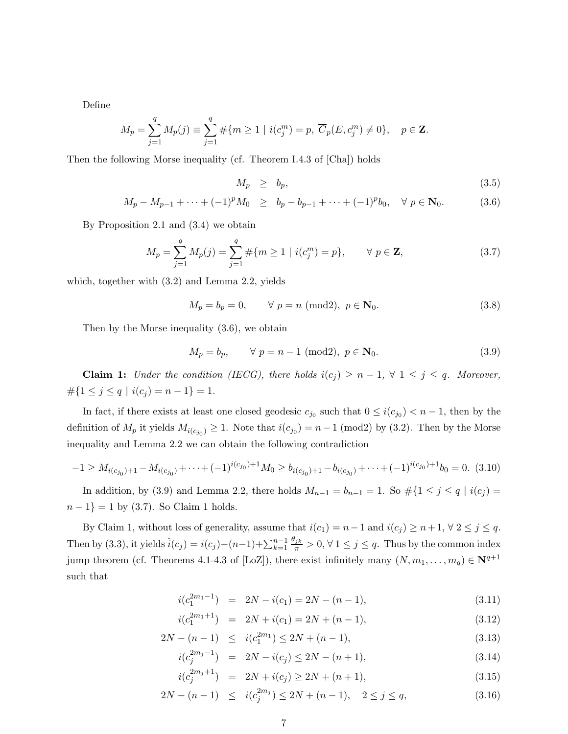Define

$$
M_p = \sum_{j=1}^q M_p(j) \equiv \sum_{j=1}^q \# \{ m \ge 1 \mid i(c_j^m) = p, \ \overline{C}_p(E, c_j^m) \ne 0 \}, \quad p \in \mathbf{Z}.
$$

Then the following Morse inequality (cf. Theorem I.4.3 of [Cha]) holds

$$
M_p \geq b_p,\tag{3.5}
$$

$$
M_p - M_{p-1} + \dots + (-1)^p M_0 \ge b_p - b_{p-1} + \dots + (-1)^p b_0, \quad \forall \ p \in \mathbf{N}_0.
$$
 (3.6)

By Proposition 2.1 and (3.4) we obtain

$$
M_p = \sum_{j=1}^{q} M_p(j) = \sum_{j=1}^{q} \# \{ m \ge 1 \mid i(c_j^m) = p \}, \qquad \forall \ p \in \mathbf{Z}, \tag{3.7}
$$

which, together with (3.2) and Lemma 2.2, yields

$$
M_p = b_p = 0, \qquad \forall \ p = n \text{ (mod2)}, \ p \in \mathbf{N}_0. \tag{3.8}
$$

Then by the Morse inequality (3.6), we obtain

$$
M_p = b_p, \qquad \forall \ p = n - 1 \ (\text{mod2}), \ p \in \mathbf{N}_0. \tag{3.9}
$$

**Claim 1:** Under the condition (IECG), there holds  $i(c_j) \geq n-1$ ,  $\forall$  1  $\leq j \leq q$ . Moreover,  $\#\{1 \leq j \leq q \mid i(c_j) = n-1\} = 1.$ 

In fact, if there exists at least one closed geodesic  $c_{j_0}$  such that  $0 \leq i(c_{j_0}) < n-1$ , then by the definition of  $M_p$  it yields  $M_{i(c_{j_0})} \geq 1$ . Note that  $i(c_{j_0}) = n - 1 \pmod{2}$  by (3.2). Then by the Morse inequality and Lemma 2.2 we can obtain the following contradiction

$$
-1 \ge M_{i(c_{j_0})+1} - M_{i(c_{j_0})} + \dots + (-1)^{i(c_{j_0})+1} M_0 \ge b_{i(c_{j_0})+1} - b_{i(c_{j_0})} + \dots + (-1)^{i(c_{j_0})+1} b_0 = 0. \tag{3.10}
$$

In addition, by (3.9) and Lemma 2.2, there holds  $M_{n-1} = b_{n-1} = 1$ . So  $\#\{1 \leq j \leq q \mid i(c_j) = 1\}$  $n-1$ } = 1 by (3.7). So Claim 1 holds.

By Claim 1, without loss of generality, assume that  $i(c_1) = n-1$  and  $i(c_j) \geq n+1, \forall 2 \leq j \leq q$ . Then by (3.3), it yields  $\hat{i}(c_j) = i(c_j) - (n-1) + \sum_{k=1}^{n-1}$  $\frac{\theta_{jk}}{\pi} > 0, \forall 1 \leq j \leq q$ . Thus by the common index jump theorem (cf. Theorems 4.1-4.3 of [LoZ]), there exist infinitely many  $(N, m_1, \ldots, m_q) \in \mathbb{N}^{q+1}$ such that

$$
i(c_1^{2m_1-1}) = 2N - i(c_1) = 2N - (n-1),
$$
\n(3.11)

$$
i(c_1^{2m_1+1}) = 2N + i(c_1) = 2N + (n-1),
$$
\n(3.12)

$$
2N - (n - 1) \leq i(c_1^{2m_1}) \leq 2N + (n - 1), \tag{3.13}
$$

$$
i(c_j^{2m_j-1}) = 2N - i(c_j) \le 2N - (n+1),
$$
\n(3.14)

$$
i(c_j^{2m_j+1}) = 2N + i(c_j) \ge 2N + (n+1),
$$
\n(3.15)

$$
2N - (n - 1) \leq i(c_j^{2m_j}) \leq 2N + (n - 1), \quad 2 \leq j \leq q,\tag{3.16}
$$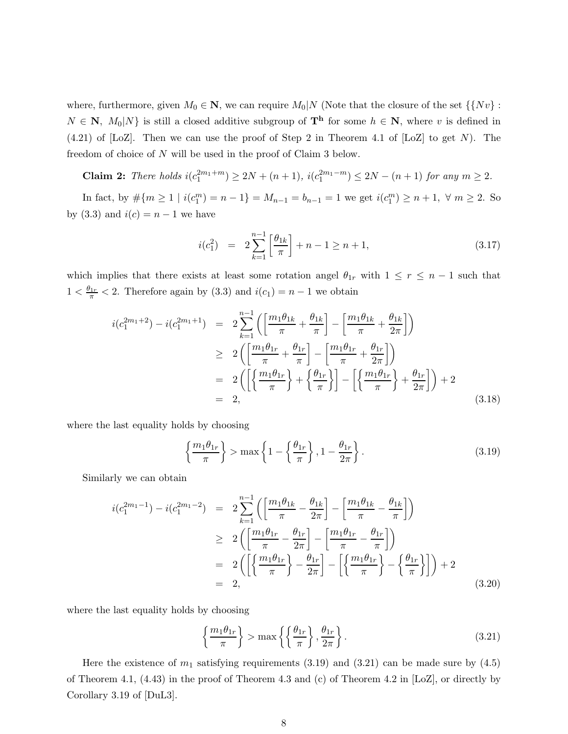where, furthermore, given  $M_0 \in \mathbb{N}$ , we can require  $M_0 \setminus N$  (Note that the closure of the set  $\{\{Nv\}$ ):  $N \in \mathbb{N}$ ,  $M_0|N$  is still a closed additive subgroup of  $\mathbf{T}^{\mathbf{h}}$  for some  $h \in \mathbb{N}$ , where v is defined in  $(4.21)$  of [LoZ]. Then we can use the proof of Step 2 in Theorem 4.1 of [LoZ] to get N). The freedom of choice of N will be used in the proof of Claim 3 below.

**Claim 2:** There holds  $i(c_1^{2m_1+m}) \ge 2N + (n+1), i(c_1^{2m_1-m}) \le 2N - (n+1)$  for any  $m ≥ 2$ .

In fact, by  $\#\{m \geq 1 \mid i(c_1^m) = n - 1\} = M_{n-1} = b_{n-1} = 1$  we get  $i(c_1^m) \geq n+1$ ,  $\forall m \geq 2$ . So by (3.3) and  $i(c) = n - 1$  we have

$$
i(c_1^2) = 2\sum_{k=1}^{n-1} \left[\frac{\theta_{1k}}{\pi}\right] + n - 1 \ge n + 1,\tag{3.17}
$$

which implies that there exists at least some rotation angel  $\theta_{1r}$  with  $1 \leq r \leq n-1$  such that  $1 < \frac{\theta_{1r}}{\pi} < 2$ . Therefore again by (3.3) and  $i(c_1) = n - 1$  we obtain

$$
i(c_1^{2m_1+2}) - i(c_1^{2m_1+1}) = 2\sum_{k=1}^{n-1} \left( \left[ \frac{m_1\theta_{1k}}{\pi} + \frac{\theta_{1k}}{\pi} \right] - \left[ \frac{m_1\theta_{1k}}{\pi} + \frac{\theta_{1k}}{2\pi} \right] \right)
$$
  
\n
$$
\geq 2\left( \left[ \frac{m_1\theta_{1r}}{\pi} + \frac{\theta_{1r}}{\pi} \right] - \left[ \frac{m_1\theta_{1r}}{\pi} + \frac{\theta_{1r}}{2\pi} \right] \right)
$$
  
\n
$$
= 2\left( \left[ \left\{ \frac{m_1\theta_{1r}}{\pi} \right\} + \left\{ \frac{\theta_{1r}}{\pi} \right\} \right] - \left[ \left\{ \frac{m_1\theta_{1r}}{\pi} \right\} + \frac{\theta_{1r}}{2\pi} \right] \right) + 2
$$
  
\n
$$
= 2, \tag{3.18}
$$

where the last equality holds by choosing

$$
\left\{\frac{m_1\theta_{1r}}{\pi}\right\} > \max\left\{1 - \left\{\frac{\theta_{1r}}{\pi}\right\}, 1 - \frac{\theta_{1r}}{2\pi}\right\}.
$$
\n(3.19)

Similarly we can obtain

$$
i(c_1^{2m_1-1}) - i(c_1^{2m_1-2}) = 2\sum_{k=1}^{n-1} \left( \left[ \frac{m_1\theta_{1k}}{\pi} - \frac{\theta_{1k}}{2\pi} \right] - \left[ \frac{m_1\theta_{1k}}{\pi} - \frac{\theta_{1k}}{\pi} \right] \right)
$$
  
\n
$$
\geq 2\left( \left[ \frac{m_1\theta_{1r}}{\pi} - \frac{\theta_{1r}}{2\pi} \right] - \left[ \frac{m_1\theta_{1r}}{\pi} - \frac{\theta_{1r}}{\pi} \right] \right)
$$
  
\n
$$
= 2\left( \left[ \left\{ \frac{m_1\theta_{1r}}{\pi} \right\} - \frac{\theta_{1r}}{2\pi} \right] - \left[ \left\{ \frac{m_1\theta_{1r}}{\pi} \right\} - \left\{ \frac{\theta_{1r}}{\pi} \right\} \right] \right) + 2
$$
  
\n
$$
= 2, \tag{3.20}
$$

where the last equality holds by choosing

$$
\left\{\frac{m_1\theta_{1r}}{\pi}\right\} > \max\left\{\left\{\frac{\theta_{1r}}{\pi}\right\}, \frac{\theta_{1r}}{2\pi}\right\}.
$$
\n(3.21)

Here the existence of  $m_1$  satisfying requirements (3.19) and (3.21) can be made sure by (4.5) of Theorem 4.1, (4.43) in the proof of Theorem 4.3 and (c) of Theorem 4.2 in [LoZ], or directly by Corollary 3.19 of [DuL3].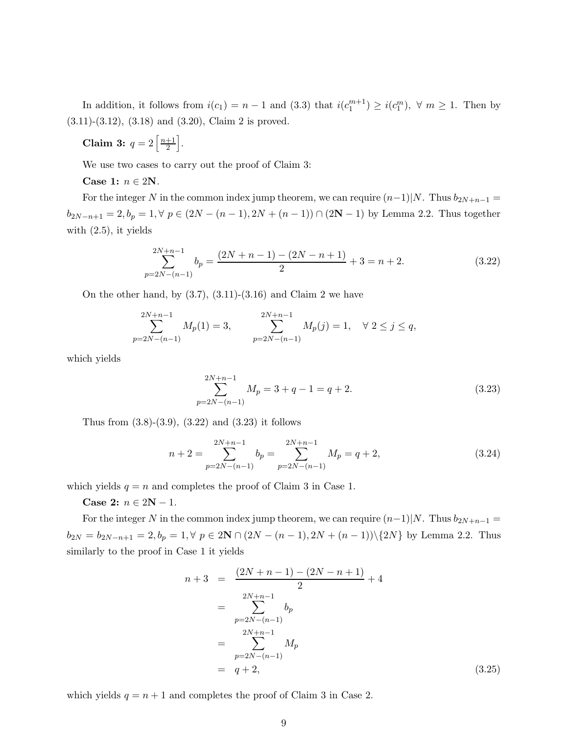In addition, it follows from  $i(c_1) = n - 1$  and (3.3) that  $i(c_1^{m+1}) \geq i(c_1^m)$ ,  $\forall m \geq 1$ . Then by (3.11)-(3.12), (3.18) and (3.20), Claim 2 is proved.

Claim 3:  $q=2\left\lceil \frac{n+1}{2}\right\rceil$  $\frac{+1}{2}$ .

We use two cases to carry out the proof of Claim 3:

Case 1:  $n \in 2N$ .

For the integer N in the common index jump theorem, we can require  $(n-1)|N$ . Thus  $b_{2N+n-1} =$  $b_{2N-n+1} = 2, b_p = 1, \forall p \in (2N-(n-1), 2N+(n-1)) \cap (2N-1)$  by Lemma 2.2. Thus together with  $(2.5)$ , it yields

$$
\sum_{p=2N-(n-1)}^{2N+n-1} b_p = \frac{(2N+n-1)-(2N-n+1)}{2} + 3 = n+2.
$$
 (3.22)

On the other hand, by  $(3.7), (3.11)$ - $(3.16)$  and Claim 2 we have

$$
\sum_{p=2N-(n-1)}^{2N+n-1} M_p(1) = 3, \qquad \sum_{p=2N-(n-1)}^{2N+n-1} M_p(j) = 1, \quad \forall \ 2 \le j \le q,
$$

which yields

$$
\sum_{p=2N-(n-1)}^{2N+n-1} M_p = 3+q-1 = q+2.
$$
\n(3.23)

Thus from  $(3.8)-(3.9)$ ,  $(3.22)$  and  $(3.23)$  it follows

$$
n+2 = \sum_{p=2N-(n-1)}^{2N+n-1} b_p = \sum_{p=2N-(n-1)}^{2N+n-1} M_p = q+2,
$$
\n(3.24)

which yields  $q = n$  and completes the proof of Claim 3 in Case 1.

Case 2:  $n \in 2N - 1$ .

For the integer N in the common index jump theorem, we can require  $(n-1)|N$ . Thus  $b_{2N+n-1} =$  $b_{2N} = b_{2N-n+1} = 2, b_p = 1, \forall p \in 2\mathbb{N} \cap (2N-(n-1), 2N+(n-1))\setminus\{2N\}$  by Lemma 2.2. Thus similarly to the proof in Case 1 it yields

$$
n+3 = \frac{(2N+n-1) - (2N-n+1)}{2} + 4
$$
  
= 
$$
\sum_{p=2N-(n-1)}^{2N+n-1} b_p
$$
  
= 
$$
\sum_{p=2N-(n-1)}^{2N+n-1} M_p
$$
  
= 
$$
q+2,
$$
 (3.25)

which yields  $q = n + 1$  and completes the proof of Claim 3 in Case 2.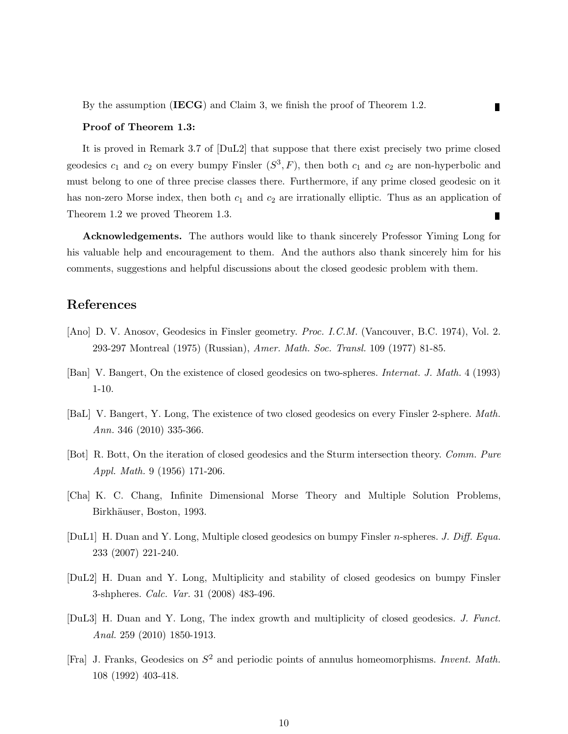#### Proof of Theorem 1.3:

It is proved in Remark 3.7 of [DuL2] that suppose that there exist precisely two prime closed geodesics  $c_1$  and  $c_2$  on every bumpy Finsler  $(S^3, F)$ , then both  $c_1$  and  $c_2$  are non-hyperbolic and must belong to one of three precise classes there. Furthermore, if any prime closed geodesic on it has non-zero Morse index, then both  $c_1$  and  $c_2$  are irrationally elliptic. Thus as an application of Theorem 1.2 we proved Theorem 1.3. Г

Г

Acknowledgements. The authors would like to thank sincerely Professor Yiming Long for his valuable help and encouragement to them. And the authors also thank sincerely him for his comments, suggestions and helpful discussions about the closed geodesic problem with them.

## References

- [Ano] D. V. Anosov, Geodesics in Finsler geometry. *Proc. I.C.M.* (Vancouver, B.C. 1974), Vol. 2. 293-297 Montreal (1975) (Russian), Amer. Math. Soc. Transl. 109 (1977) 81-85.
- [Ban] V. Bangert, On the existence of closed geodesics on two-spheres. Internat. J. Math. 4 (1993) 1-10.
- [BaL] V. Bangert, Y. Long, The existence of two closed geodesics on every Finsler 2-sphere. Math. Ann. 346 (2010) 335-366.
- [Bot] R. Bott, On the iteration of closed geodesics and the Sturm intersection theory. Comm. Pure Appl. Math. 9 (1956) 171-206.
- [Cha] K. C. Chang, Infinite Dimensional Morse Theory and Multiple Solution Problems, Birkhäuser, Boston, 1993.
- [DuL1] H. Duan and Y. Long, Multiple closed geodesics on bumpy Finsler n-spheres. J. Diff. Equa. 233 (2007) 221-240.
- [DuL2] H. Duan and Y. Long, Multiplicity and stability of closed geodesics on bumpy Finsler 3-shpheres. Calc. Var. 31 (2008) 483-496.
- [DuL3] H. Duan and Y. Long, The index growth and multiplicity of closed geodesics. J. Funct. Anal. 259 (2010) 1850-1913.
- [Fra] J. Franks, Geodesics on  $S^2$  and periodic points of annulus homeomorphisms. Invent. Math. 108 (1992) 403-418.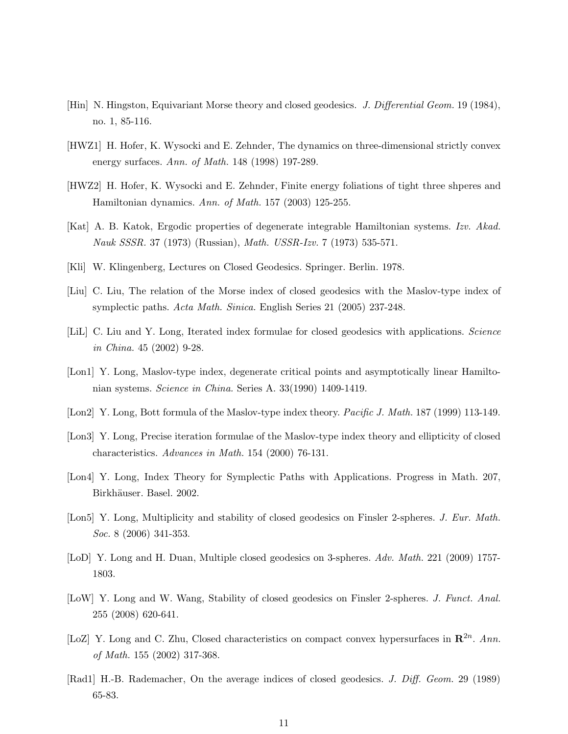- [Hin] N. Hingston, Equivariant Morse theory and closed geodesics. J. Differential Geom. 19 (1984), no. 1, 85-116.
- [HWZ1] H. Hofer, K. Wysocki and E. Zehnder, The dynamics on three-dimensional strictly convex energy surfaces. Ann. of Math. 148 (1998) 197-289.
- [HWZ2] H. Hofer, K. Wysocki and E. Zehnder, Finite energy foliations of tight three shperes and Hamiltonian dynamics. Ann. of Math. 157 (2003) 125-255.
- [Kat] A. B. Katok, Ergodic properties of degenerate integrable Hamiltonian systems. Izv. Akad. Nauk SSSR. 37 (1973) (Russian), Math. USSR-Izv. 7 (1973) 535-571.
- [Kli] W. Klingenberg, Lectures on Closed Geodesics. Springer. Berlin. 1978.
- [Liu] C. Liu, The relation of the Morse index of closed geodesics with the Maslov-type index of symplectic paths. Acta Math. Sinica. English Series 21 (2005) 237-248.
- [LiL] C. Liu and Y. Long, Iterated index formulae for closed geodesics with applications. Science in China. 45 (2002) 9-28.
- [Lon1] Y. Long, Maslov-type index, degenerate critical points and asymptotically linear Hamiltonian systems. Science in China. Series A. 33(1990) 1409-1419.
- [Lon2] Y. Long, Bott formula of the Maslov-type index theory. Pacific J. Math. 187 (1999) 113-149.
- [Lon3] Y. Long, Precise iteration formulae of the Maslov-type index theory and ellipticity of closed characteristics. Advances in Math. 154 (2000) 76-131.
- [Lon4] Y. Long, Index Theory for Symplectic Paths with Applications. Progress in Math. 207, Birkhäuser. Basel. 2002.
- [Lon5] Y. Long, Multiplicity and stability of closed geodesics on Finsler 2-spheres. J. Eur. Math. Soc. 8 (2006) 341-353.
- [LoD] Y. Long and H. Duan, Multiple closed geodesics on 3-spheres. Adv. Math. 221 (2009) 1757-1803.
- [LoW] Y. Long and W. Wang, Stability of closed geodesics on Finsler 2-spheres. J. Funct. Anal. 255 (2008) 620-641.
- [LoZ] Y. Long and C. Zhu, Closed characteristics on compact convex hypersurfaces in  $\mathbb{R}^{2n}$ . Ann. of Math. 155 (2002) 317-368.
- [Rad1] H.-B. Rademacher, On the average indices of closed geodesics. J. Diff. Geom. 29 (1989) 65-83.